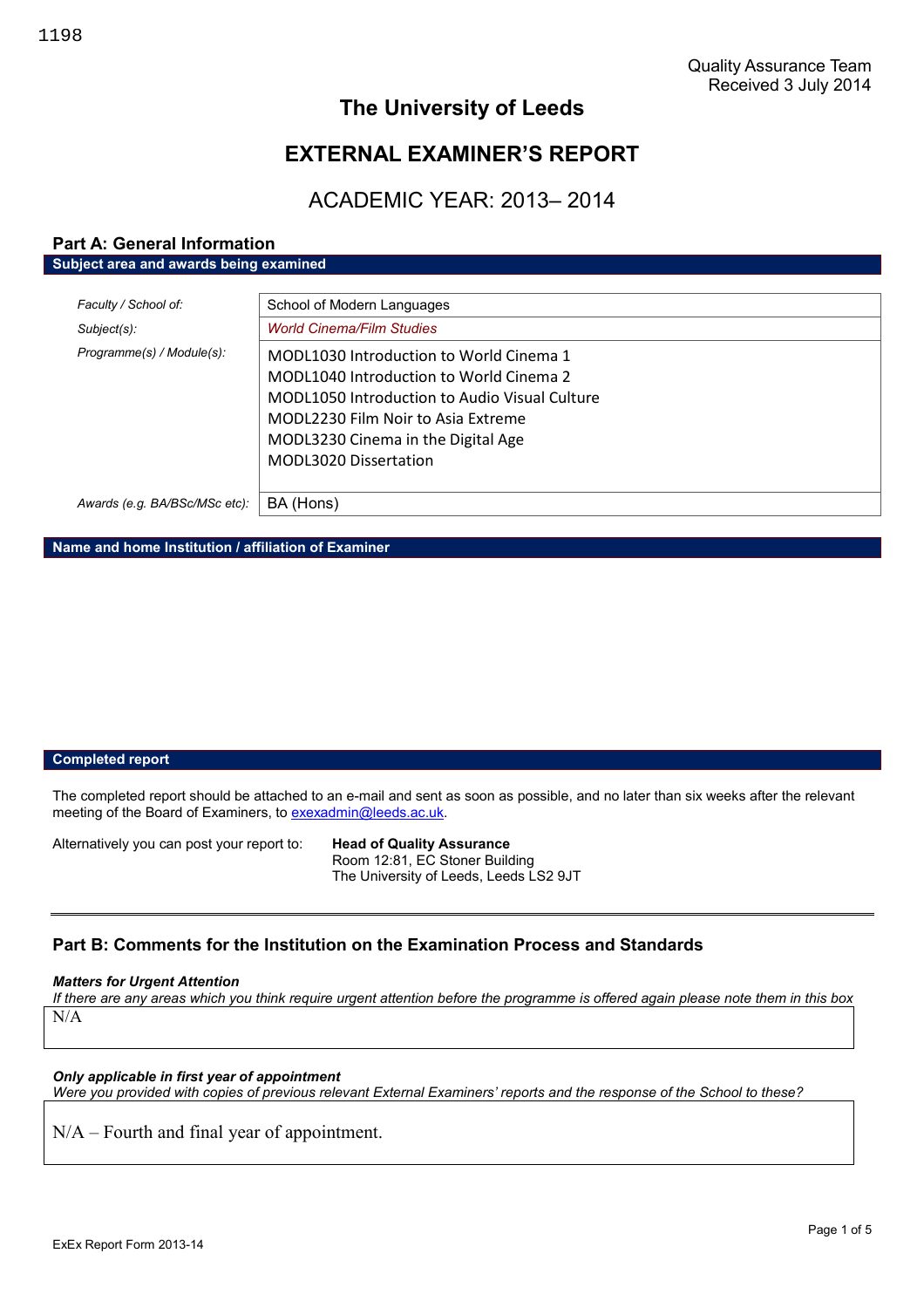# **The University of Leeds**

# **EXTERNAL EXAMINER'S REPORT**

# ACADEMIC YEAR: 2013– 2014

## **Part A: General Information Subject area and awards being examined**

| Faculty / School of:          | School of Modern Languages                    |
|-------------------------------|-----------------------------------------------|
| Subject(s):                   | <b>World Cinema/Film Studies</b>              |
| Programme(s) / Module(s):     | MODL1030 Introduction to World Cinema 1       |
|                               | MODL1040 Introduction to World Cinema 2       |
|                               | MODL1050 Introduction to Audio Visual Culture |
|                               | MODL2230 Film Noir to Asia Extreme            |
|                               | MODL3230 Cinema in the Digital Age            |
|                               | MODL3020 Dissertation                         |
|                               |                                               |
| Awards (e.g. BA/BSc/MSc etc): | BA (Hons)                                     |

**Name and home Institution / affiliation of Examiner**

#### **Completed report**

The completed report should be attached to an e-mail and sent as soon as possible, and no later than six weeks after the relevant meeting of the Board of Examiners, to exexadmin@leeds.ac.uk.

Alternatively you can post your report to: **Head of Quality Assurance**

Room 12:81, EC Stoner Building The University of Leeds, Leeds LS2 9JT

# **Part B: Comments for the Institution on the Examination Process and Standards**

#### *Matters for Urgent Attention*

*If there are any areas which you think require urgent attention before the programme is offered again please note them in this box* N/A

#### *Only applicable in first year of appointment*

*Were you provided with copies of previous relevant External Examiners' reports and the response of the School to these?*

N/A – Fourth and final year of appointment.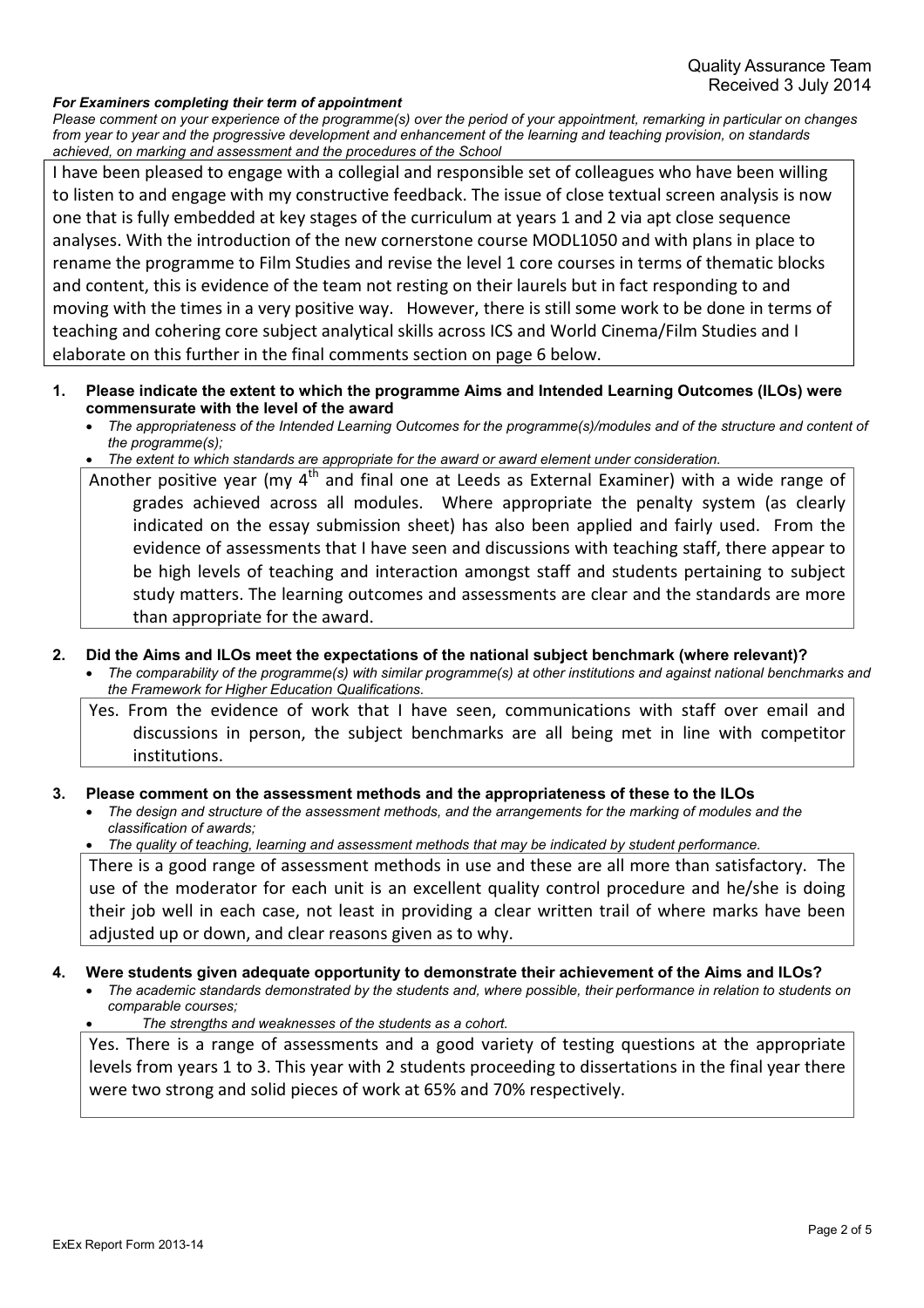#### *For Examiners completing their term of appointment*

*Please comment on your experience of the programme(s) over the period of your appointment, remarking in particular on changes from year to year and the progressive development and enhancement of the learning and teaching provision, on standards achieved, on marking and assessment and the procedures of the School*

I have been pleased to engage with a collegial and responsible set of colleagues who have been willing to listen to and engage with my constructive feedback. The issue of close textual screen analysis is now one that is fully embedded at key stages of the curriculum at years 1 and 2 via apt close sequence analyses. With the introduction of the new cornerstone course MODL1050 and with plans in place to rename the programme to Film Studies and revise the level 1 core courses in terms of thematic blocks and content, this is evidence of the team not resting on their laurels but in fact responding to and moving with the times in a very positive way. However, there is still some work to be done in terms of teaching and cohering core subject analytical skills across ICS and World Cinema/Film Studies and I elaborate on this further in the final comments section on page 6 below.

- **1. Please indicate the extent to which the programme Aims and Intended Learning Outcomes (ILOs) were commensurate with the level of the award**
	- *The appropriateness of the Intended Learning Outcomes for the programme(s)/modules and of the structure and content of the programme(s);*
	- *The extent to which standards are appropriate for the award or award element under consideration.*

Another positive year (my  $4<sup>th</sup>$  and final one at Leeds as External Examiner) with a wide range of grades achieved across all modules. Where appropriate the penalty system (as clearly indicated on the essay submission sheet) has also been applied and fairly used. From the evidence of assessments that I have seen and discussions with teaching staff, there appear to be high levels of teaching and interaction amongst staff and students pertaining to subject study matters. The learning outcomes and assessments are clear and the standards are more than appropriate for the award.

#### **2. Did the Aims and ILOs meet the expectations of the national subject benchmark (where relevant)?**

 *The comparability of the programme(s) with similar programme(s) at other institutions and against national benchmarks and the Framework for Higher Education Qualifications.*

Yes. From the evidence of work that I have seen, communications with staff over email and discussions in person, the subject benchmarks are all being met in line with competitor institutions.

#### **3. Please comment on the assessment methods and the appropriateness of these to the ILOs**

 *The design and structure of the assessment methods, and the arrangements for the marking of modules and the classification of awards;*

*The quality of teaching, learning and assessment methods that may be indicated by student performance.*

There is a good range of assessment methods in use and these are all more than satisfactory. The use of the moderator for each unit is an excellent quality control procedure and he/she is doing their job well in each case, not least in providing a clear written trail of where marks have been adjusted up or down, and clear reasons given as to why.

#### **4. Were students given adequate opportunity to demonstrate their achievement of the Aims and ILOs?**

- *The academic standards demonstrated by the students and, where possible, their performance in relation to students on comparable courses;*
- *The strengths and weaknesses of the students as a cohort.*

Yes. There is a range of assessments and a good variety of testing questions at the appropriate levels from years 1 to 3. This year with 2 students proceeding to dissertations in the final year there were two strong and solid pieces of work at 65% and 70% respectively.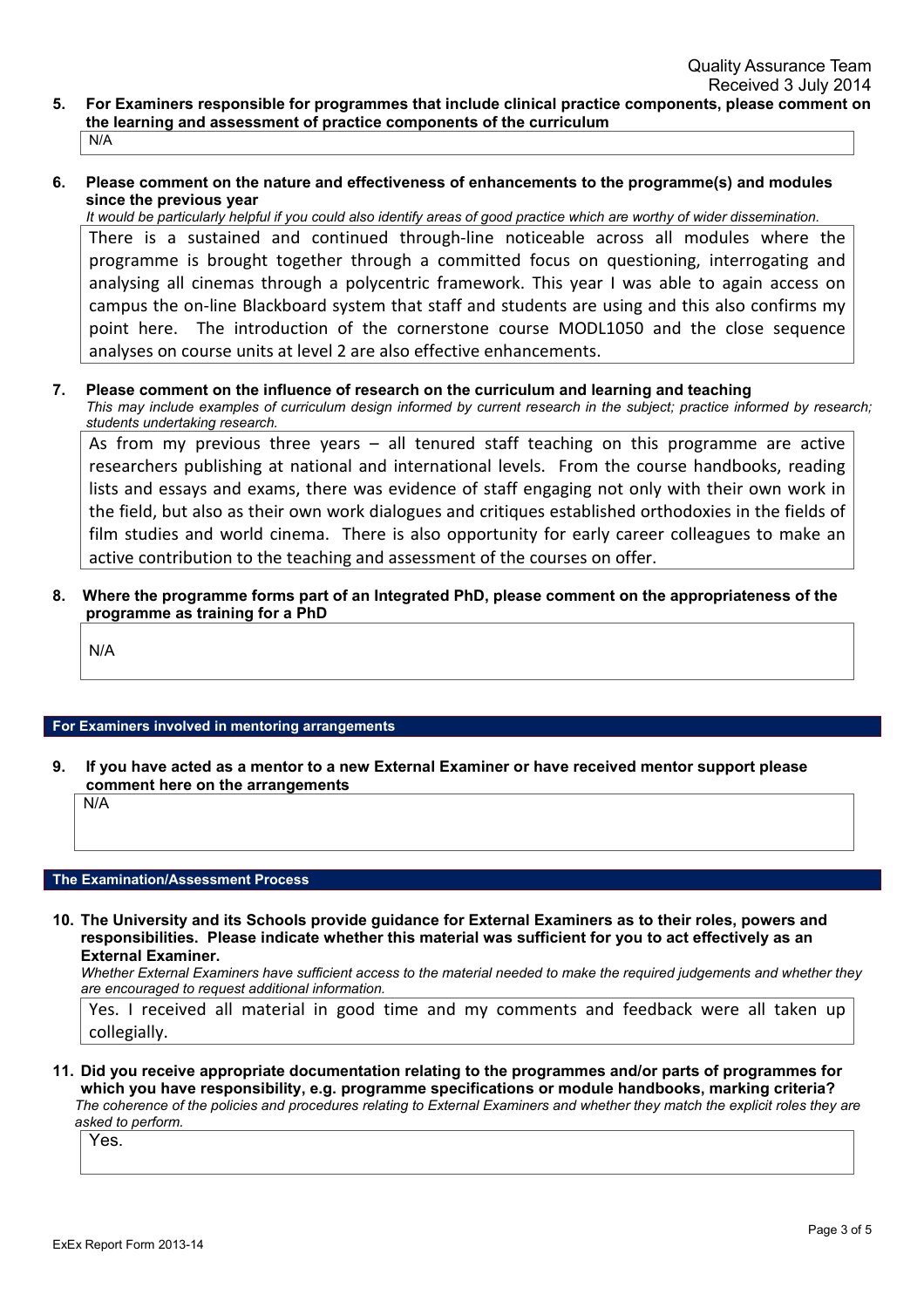- **5. For Examiners responsible for programmes that include clinical practice components, please comment on the learning and assessment of practice components of the curriculum** N/A
- **6. Please comment on the nature and effectiveness of enhancements to the programme(s) and modules since the previous year**

*It would be particularly helpful if you could also identify areas of good practice which are worthy of wider dissemination.* There is a sustained and continued through-line noticeable across all modules where the programme is brought together through a committed focus on questioning, interrogating and analysing all cinemas through a polycentric framework. This year I was able to again access on campus the on-line Blackboard system that staff and students are using and this also confirms my point here. The introduction of the cornerstone course MODL1050 and the close sequence analyses on course units at level 2 are also effective enhancements.

**7. Please comment on the influence of research on the curriculum and learning and teaching** *This may include examples of curriculum design informed by current research in the subject; practice informed by research; students undertaking research.*

As from my previous three years – all tenured staff teaching on this programme are active researchers publishing at national and international levels. From the course handbooks, reading lists and essays and exams, there was evidence of staff engaging not only with their own work in the field, but also as their own work dialogues and critiques established orthodoxies in the fields of film studies and world cinema. There is also opportunity for early career colleagues to make an active contribution to the teaching and assessment of the courses on offer.

**8. Where the programme forms part of an Integrated PhD, please comment on the appropriateness of the programme as training for a PhD**

N/A

#### **For Examiners involved in mentoring arrangements**

**9. If you have acted as a mentor to a new External Examiner or have received mentor support please comment here on the arrangements**

N/A

## **The Examination/Assessment Process**

**10. The University and its Schools provide guidance for External Examiners as to their roles, powers and responsibilities. Please indicate whether this material was sufficient for you to act effectively as an External Examiner.**

*Whether External Examiners have sufficient access to the material needed to make the required judgements and whether they are encouraged to request additional information.*

Yes. I received all material in good time and my comments and feedback were all taken up collegially.

**11. Did you receive appropriate documentation relating to the programmes and/or parts of programmes for which you have responsibility, e.g. programme specifications or module handbooks, marking criteria?**

*The coherence of the policies and procedures relating to External Examiners and whether they match the explicit roles they are asked to perform.*

Yes.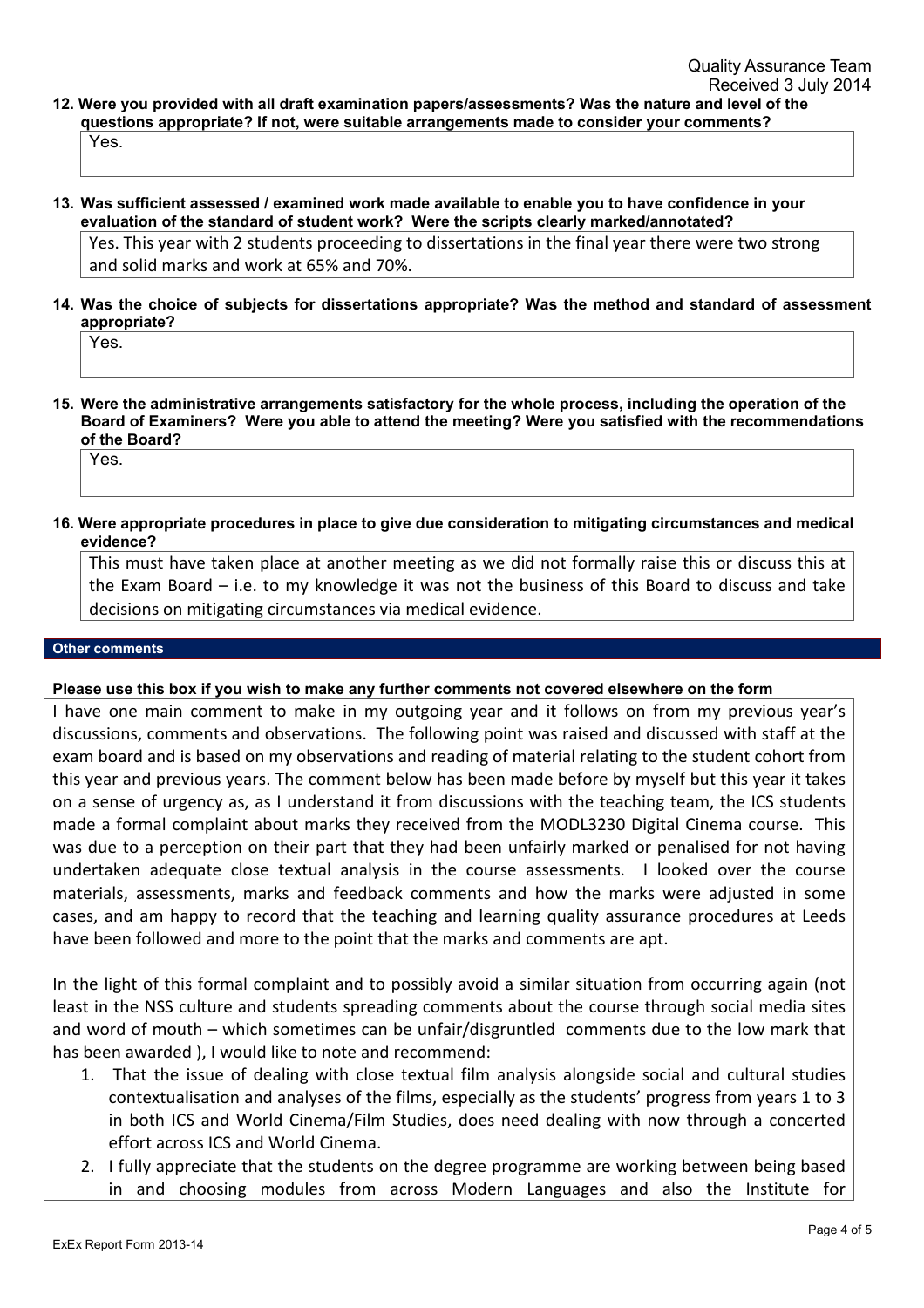**12. Were you provided with all draft examination papers/assessments? Was the nature and level of the questions appropriate? If not, were suitable arrangements made to consider your comments?** Yes.

**13. Was sufficient assessed / examined work made available to enable you to have confidence in your evaluation of the standard of student work? Were the scripts clearly marked/annotated?**

Yes. This year with 2 students proceeding to dissertations in the final year there were two strong and solid marks and work at 65% and 70%.

**14. Was the choice of subjects for dissertations appropriate? Was the method and standard of assessment appropriate?**

Yes.

**15. Were the administrative arrangements satisfactory for the whole process, including the operation of the Board of Examiners? Were you able to attend the meeting? Were you satisfied with the recommendations of the Board?**

Yes.

**16. Were appropriate procedures in place to give due consideration to mitigating circumstances and medical evidence?**

This must have taken place at another meeting as we did not formally raise this or discuss this at the Exam Board – i.e. to my knowledge it was not the business of this Board to discuss and take decisions on mitigating circumstances via medical evidence.

#### **Other comments**

## **Please use this box if you wish to make any further comments not covered elsewhere on the form**

I have one main comment to make in my outgoing year and it follows on from my previous year's discussions, comments and observations. The following point was raised and discussed with staff at the exam board and is based on my observations and reading of material relating to the student cohort from this year and previous years. The comment below has been made before by myself but this year it takes on a sense of urgency as, as I understand it from discussions with the teaching team, the ICS students made a formal complaint about marks they received from the MODL3230 Digital Cinema course. This was due to a perception on their part that they had been unfairly marked or penalised for not having undertaken adequate close textual analysis in the course assessments. I looked over the course materials, assessments, marks and feedback comments and how the marks were adjusted in some cases, and am happy to record that the teaching and learning quality assurance procedures at Leeds have been followed and more to the point that the marks and comments are apt.

In the light of this formal complaint and to possibly avoid a similar situation from occurring again (not least in the NSS culture and students spreading comments about the course through social media sites and word of mouth – which sometimes can be unfair/disgruntled comments due to the low mark that has been awarded ), I would like to note and recommend:

- 1. That the issue of dealing with close textual film analysis alongside social and cultural studies contextualisation and analyses of the films, especially as the students' progress from years 1 to 3 in both ICS and World Cinema/Film Studies, does need dealing with now through a concerted effort across ICS and World Cinema.
- 2. I fully appreciate that the students on the degree programme are working between being based in and choosing modules from across Modern Languages and also the Institute for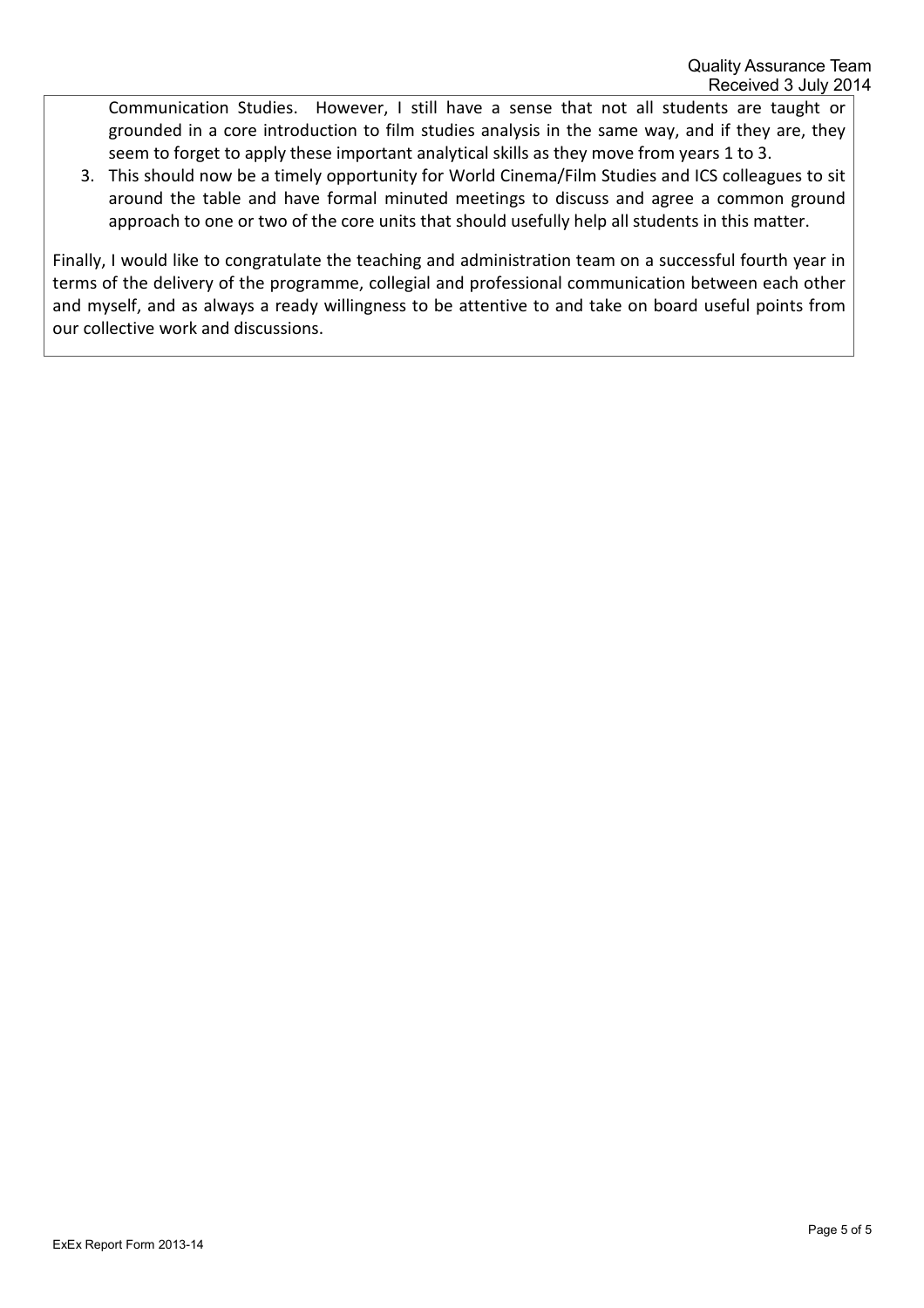Communication Studies. However, I still have a sense that not all students are taught or grounded in a core introduction to film studies analysis in the same way, and if they are, they seem to forget to apply these important analytical skills as they move from years 1 to 3.

3. This should now be a timely opportunity for World Cinema/Film Studies and ICS colleagues to sit around the table and have formal minuted meetings to discuss and agree a common ground approach to one or two of the core units that should usefully help all students in this matter.

Finally, I would like to congratulate the teaching and administration team on a successful fourth year in terms of the delivery of the programme, collegial and professional communication between each other and myself, and as always a ready willingness to be attentive to and take on board useful points from our collective work and discussions.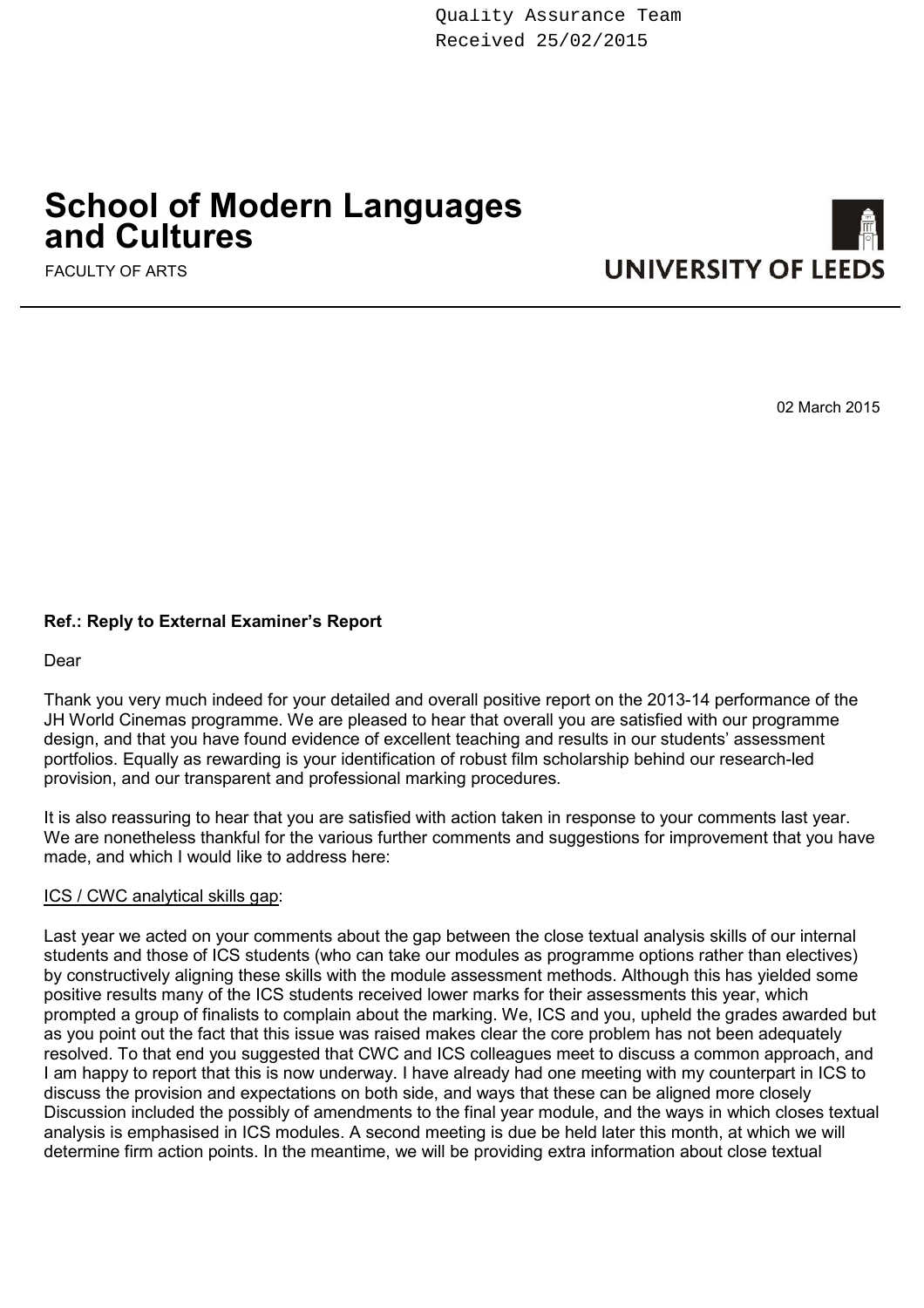Quality Assurance Team Received 25/02/2015

# **School of Modern Languages and Cultures**

FACULTY OF ARTS



02 March 2015

# **Ref.: Reply to External Examiner's Report**

Dear

Thank you very much indeed for your detailed and overall positive report on the 2013-14 performance of the JH World Cinemas programme. We are pleased to hear that overall you are satisfied with our programme design, and that you have found evidence of excellent teaching and results in our students' assessment portfolios. Equally as rewarding is your identification of robust film scholarship behind our research-led provision, and our transparent and professional marking procedures.

It is also reassuring to hear that you are satisfied with action taken in response to your comments last year. We are nonetheless thankful for the various further comments and suggestions for improvement that you have made, and which I would like to address here:

## ICS / CWC analytical skills gap:

Last year we acted on your comments about the gap between the close textual analysis skills of our internal students and those of ICS students (who can take our modules as programme options rather than electives) by constructively aligning these skills with the module assessment methods. Although this has yielded some positive results many of the ICS students received lower marks for their assessments this year, which prompted a group of finalists to complain about the marking. We, ICS and you, upheld the grades awarded but as you point out the fact that this issue was raised makes clear the core problem has not been adequately resolved. To that end you suggested that CWC and ICS colleagues meet to discuss a common approach, and I am happy to report that this is now underway. I have already had one meeting with my counterpart in ICS to discuss the provision and expectations on both side, and ways that these can be aligned more closely Discussion included the possibly of amendments to the final year module, and the ways in which closes textual analysis is emphasised in ICS modules. A second meeting is due be held later this month, at which we will determine firm action points. In the meantime, we will be providing extra information about close textual